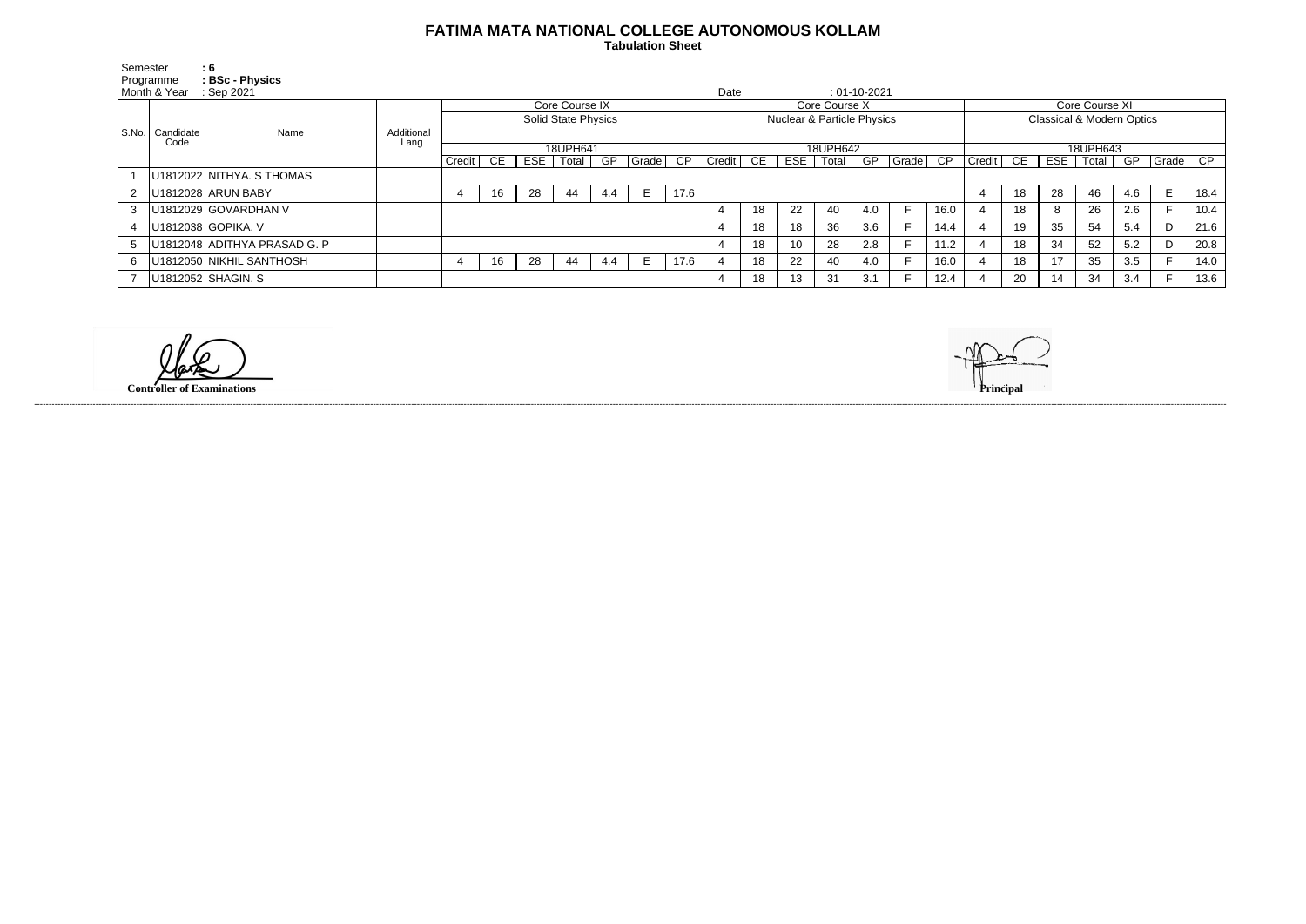## **FATIMA MATA NATIONAL COLLEGE AUTONOMOUS KOLLAM**

 **Tabulation Sheet** 

| Semester     |                   | : 6                          |            |                                              |    |       |       |     |       |                                                        |          |      |            |       |                    |       |                                      |          |    |            |       |     |       |      |
|--------------|-------------------|------------------------------|------------|----------------------------------------------|----|-------|-------|-----|-------|--------------------------------------------------------|----------|------|------------|-------|--------------------|-------|--------------------------------------|----------|----|------------|-------|-----|-------|------|
| Programme    |                   | : BSc - Physics              |            |                                              |    |       |       |     |       |                                                        |          |      |            |       |                    |       |                                      |          |    |            |       |     |       |      |
| Month & Year |                   | Sep 2021                     |            |                                              |    |       |       |     |       |                                                        |          | Date |            |       | $: 01 - 10 - 2021$ |       |                                      |          |    |            |       |     |       |      |
|              | Candidate<br>Code | Name                         |            | Core Course IX<br><b>Solid State Physics</b> |    |       |       |     |       | Core Course X<br><b>Nuclear &amp; Particle Physics</b> |          |      |            |       |                    |       | Core Course XI                       |          |    |            |       |     |       |      |
|              |                   |                              |            |                                              |    |       |       |     |       |                                                        |          |      |            |       |                    |       | <b>Classical &amp; Modern Optics</b> |          |    |            |       |     |       |      |
| S.No.        |                   |                              | Additional |                                              |    |       |       |     |       |                                                        |          |      |            |       |                    |       |                                      |          |    |            |       |     |       |      |
|              |                   |                              | Lang       | 18UPH641                                     |    |       |       |     |       |                                                        | 18UPH642 |      |            |       |                    |       |                                      | 18UPH643 |    |            |       |     |       |      |
|              |                   |                              |            | Credit                                       | CE | $ESE$ | Total | GP  | Grade | CP                                                     | Credit   | CE   | <b>ESE</b> | Total | GP                 | Grade | $\overline{CP}$                      | Credit   | CE | <b>ESE</b> | Total | GP  | Grade | CP   |
|              |                   | U1812022 NITHYA. S THOMAS    |            |                                              |    |       |       |     |       |                                                        |          |      |            |       |                    |       |                                      |          |    |            |       |     |       |      |
|              |                   | U1812028 ARUN BABY           |            |                                              | 16 | 28    | 44    | 4.4 |       | 17.6                                                   |          |      |            |       |                    |       |                                      | 4        | 18 | 28         | 46    | 4.6 | Е     | 18.4 |
| 3            |                   | U1812029 GOVARDHAN V         |            |                                              |    |       |       |     |       |                                                        |          | 18   | 22         | 40    | 4.0                |       | 16.0                                 |          | 18 |            | 26    | 2.6 |       | 10.4 |
|              |                   | U1812038 GOPIKA. V           |            |                                              |    |       |       |     |       |                                                        |          | 18   | 18         | 36    | 3.6                |       | 14.4                                 |          | 19 | 35         | 54    | 5.4 | D     | 21.6 |
|              |                   | U1812048 ADITHYA PRASAD G. P |            |                                              |    |       |       |     |       |                                                        |          | 18   | 10         | 28    | 2.8                |       | 11.2                                 |          | 18 | 34         | 52    | 5.2 |       | 20.8 |
| 6            |                   | U1812050 NIKHIL SANTHOSH     |            |                                              | 16 | 28    | 44    | 4.4 |       | 17.6                                                   |          | 18   | 22         | 40    | 4.0                |       | 16.0                                 |          | 18 | 17         | 35    | 3.5 |       | 14.0 |
|              |                   | U1812052 SHAGIN. S           |            |                                              |    |       |       |     |       |                                                        |          | 18   | 13         | 31    | 3.1                |       | 12.4                                 |          | 20 | 14         | 34    | 3.4 |       | 13.6 |

------------------------------------------------------------------------------------------------------------------------------------------------------------------------------------------------------------------------------------------------------------------------------------------------------------------------------------------------------------------------------------------------------------------------

**Controller of Examinations**